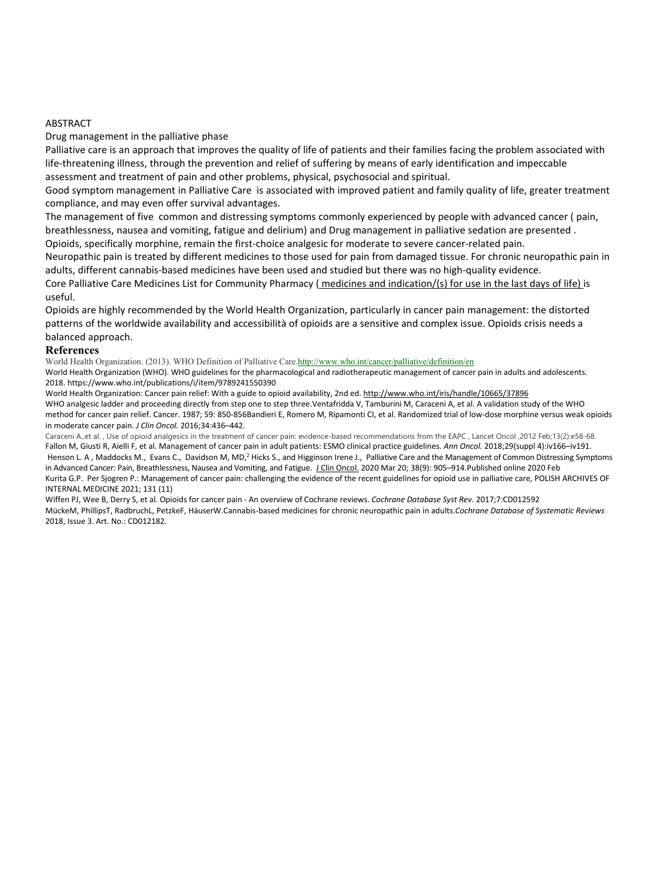## ABSTRACT

Drug management in the palliative phase

Palliative care is an approach that improves the quality of life of patients and their families facing the problem associated with life-threatening illness, through the prevention and relief of suffering by means of early identification and impeccable assessment and treatment of pain and other problems, physical, psychosocial and spiritual.

Good symptom management in Palliative Care is associated with improved patient and family quality of life, greater treatment compliance, and may even offer survival advantages.

The management of five common and distressing symptoms commonly experienced by people with advanced cancer ( pain, breathlessness, nausea and vomiting, fatigue and delirium) and Drug management in palliative sedation are presented . Opioids, specifically morphine, remain the first-choice analgesic for moderate to severe cancer-related pain.

Neuropathic pain is treated by different medicines to those used for pain from damaged tissue. For chronic neuropathic pain in adults, different cannabis-based medicines have been used and studied but there was no high-quality evidence.

Core Palliative Care Medicines List for Community Pharmacy ( medicines and indication/(s) for use in the last days of life) is useful.

Opioids are highly recommended by the World Health Organization, particularly in cancer pain management: the distorted patterns of the worldwide availability and accessibilità of opioids are a sensitive and complex issue. Opioids crisis needs a balanced approach.

## **References**

World Health Organization. (2013). WHO Definition of Palliative Care.http://www.who.int/cancer/palliative/definition/en World Health Organization (WHO). WHO guidelines for the pharmacological and radiotherapeutic management of cancer pain in adults and adolescents. 2018. https://www.who.int/publications/i/item/9789241550390

World Health Organization: Cancer pain relief: With a guide to opioid availability, 2nd ed. http://www.who.int/iris/handle/10665/37896 WHO analgesic ladder and proceeding directly from step one to step three.Ventafridda V, Tamburini M, Caraceni A, et al. A validation study of the WHO method for cancer pain relief. Cancer. 1987; 59: 850-856Bandieri E, Romero M, Ripamonti CI, et al. Randomized trial of low-dose morphine versus weak opioids in moderate cancer pain. *J Clin Oncol.* 2016;34:436–442.

Caraceni A.,et al. , Use of opioid analgesics in the treatment of cancer pain: evidence-based recommendations from the EAPC , Lancet Oncol ,2012 Feb;13(2):e58-68. Fallon M, Giusti R, Aielli F, et al. Management of cancer pain in adult patients: ESMO clinical practice guidelines. Ann Oncol. 2018;29(suppl 4):iv166-iv191. Henson L. A, Maddocks M., Evans C., Davidson M, MD,<sup>2</sup> Hicks S., and Higginson Irene J., Palliative Care and the Management of Common Distressing Symptoms in Advanced Cancer: Pain, Breathlessness, Nausea and Vomiting, and Fatigue. J Clin Oncol. 2020 Mar 20; 38(9): 905-914. Published online 2020 Feb Kurita G.P. Per Sjogren P.: Management of cancer pain: challenging the evidence of the recent guidelines for opioid use in palliative care, POLISH ARCHIVES OF INTERNAL MEDICINE 2021; 131 (11)

Wiffen PJ, Wee B, Derry S, et al. Opioids for cancer pain - An overview of Cochrane reviews. *Cochrane Database Syst Rev.* 2017;7:CD012592 MückeM, PhillipsT, RadbruchL, PetzkeF, HäuserW.Cannabis-based medicines for chronic neuropathic pain in adults.*Cochrane Database of Systematic Reviews*  2018, Issue 3. Art. No.: CD012182.